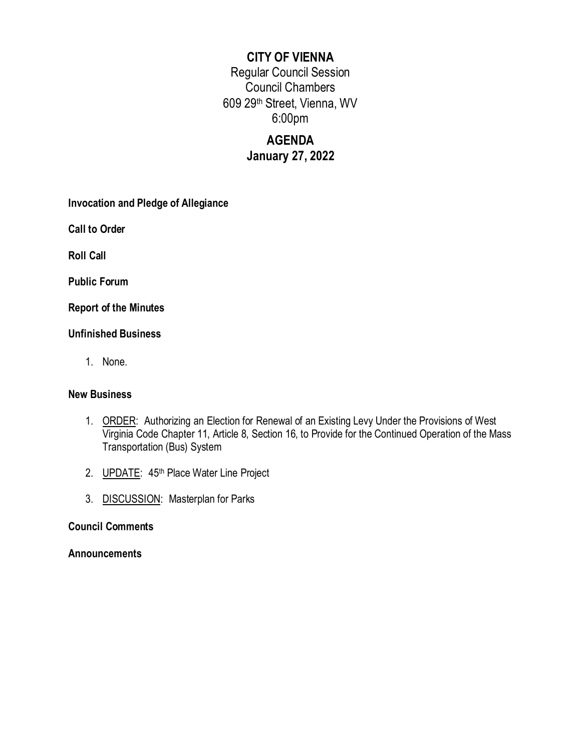## **CITY OF VIENNA**

Regular Council Session Council Chambers 609 29th Street, Vienna, WV 6:00pm

# **AGENDA January 27, 2022**

**Invocation and Pledge of Allegiance**

**Call to Order**

**Roll Call**

**Public Forum**

**Report of the Minutes**

## **Unfinished Business**

1. None.

## **New Business**

- 1. ORDER: Authorizing an Election for Renewal of an Existing Levy Under the Provisions of West Virginia Code Chapter 11, Article 8, Section 16, to Provide for the Continued Operation of the Mass Transportation (Bus) System
- 2. **UPDATE:** 45<sup>th</sup> Place Water Line Project
- 3. DISCUSSION: Masterplan for Parks

## **Council Comments**

## **Announcements**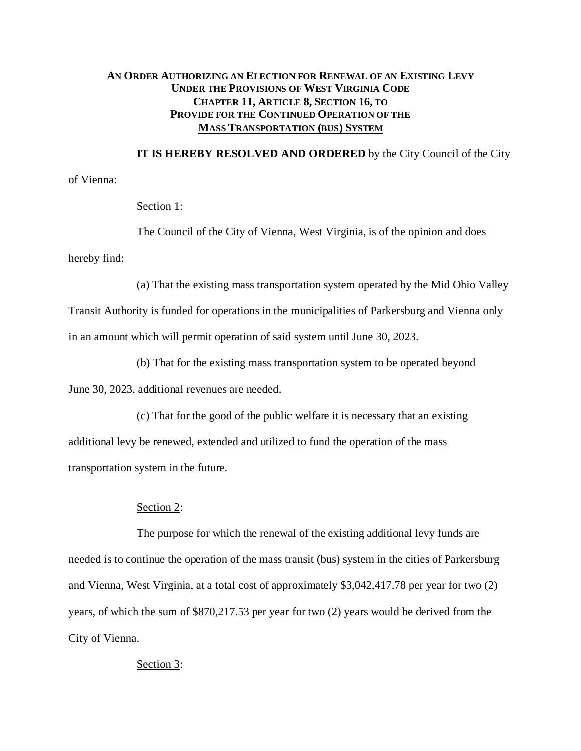## **AN ORDER AUTHORIZING AN ELECTION FOR RENEWAL OF AN EXISTING LEVY UNDER THE PROVISIONS OF WEST VIRGINIA CODE CHAPTER 11, ARTICLE 8, SECTION 16, TO PROVIDE FOR THE CONTINUED OPERATION OF THE MASS TRANSPORTATION (BUS) SYSTEM**

**IT IS HEREBY RESOLVED AND ORDERED** by the City Council of the City

of Vienna:

#### Section 1:

The Council of the City of Vienna, West Virginia, is of the opinion and does hereby find:

(a) That the existing mass transportation system operated by the Mid Ohio Valley

Transit Authority is funded for operations in the municipalities of Parkersburg and Vienna only in an amount which will permit operation of said system until June 30, 2023.

(b) That for the existing mass transportation system to be operated beyond

June 30, 2023, additional revenues are needed.

(c) That for the good of the public welfare it is necessary that an existing additional levy be renewed, extended and utilized to fund the operation of the mass transportation system in the future.

#### Section 2:

The purpose for which the renewal of the existing additional levy funds are needed is to continue the operation of the mass transit (bus) system in the cities of Parkersburg and Vienna, West Virginia, at a total cost of approximately \$3,042,417.78 per year for two (2) years, of which the sum of \$870,217.53 per year for two (2) years would be derived from the City of Vienna.

## Section 3: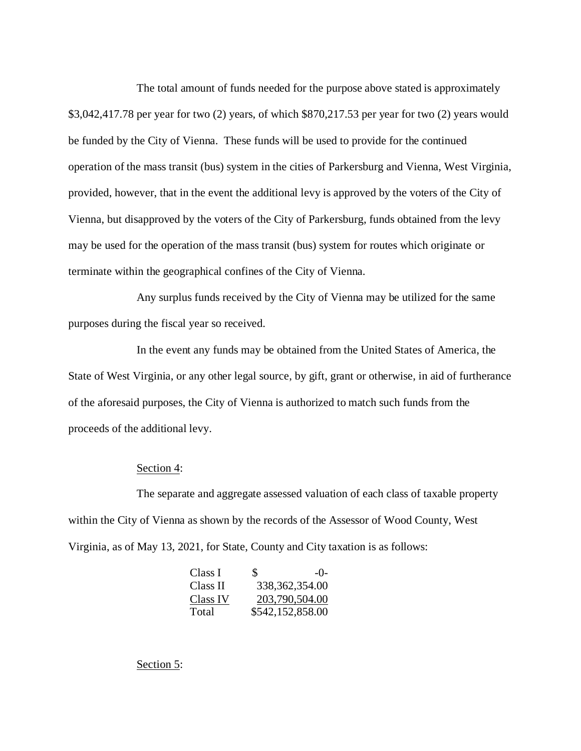The total amount of funds needed for the purpose above stated is approximately \$3,042,417.78 per year for two (2) years, of which \$870,217.53 per year for two (2) years would be funded by the City of Vienna. These funds will be used to provide for the continued operation of the mass transit (bus) system in the cities of Parkersburg and Vienna, West Virginia, provided, however, that in the event the additional levy is approved by the voters of the City of Vienna, but disapproved by the voters of the City of Parkersburg, funds obtained from the levy may be used for the operation of the mass transit (bus) system for routes which originate or terminate within the geographical confines of the City of Vienna.

Any surplus funds received by the City of Vienna may be utilized for the same purposes during the fiscal year so received.

In the event any funds may be obtained from the United States of America, the State of West Virginia, or any other legal source, by gift, grant or otherwise, in aid of furtherance of the aforesaid purposes, the City of Vienna is authorized to match such funds from the proceeds of the additional levy.

#### Section 4:

The separate and aggregate assessed valuation of each class of taxable property within the City of Vienna as shown by the records of the Assessor of Wood County, West Virginia, as of May 13, 2021, for State, County and City taxation is as follows:

| Class I  | S. | $-()$            |
|----------|----|------------------|
| Class II |    | 338, 362, 354.00 |
| Class IV |    | 203,790,504.00   |
| Total    |    | \$542,152,858.00 |

Section 5: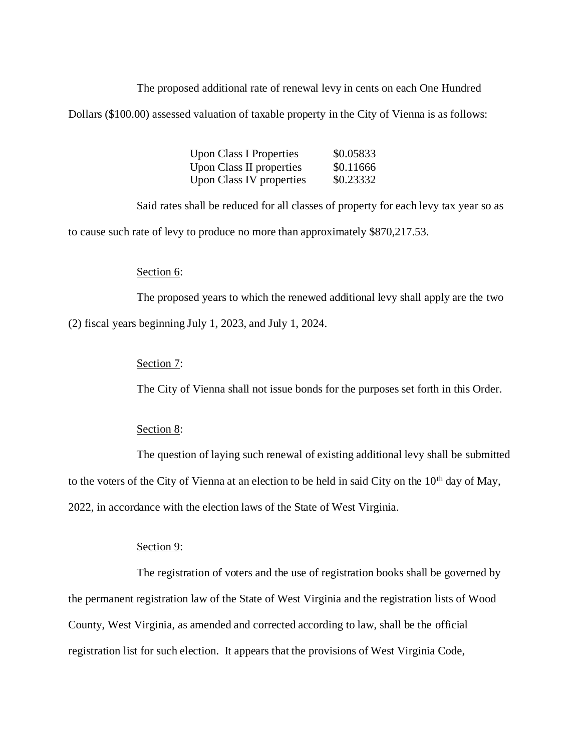The proposed additional rate of renewal levy in cents on each One Hundred

Dollars (\$100.00) assessed valuation of taxable property in the City of Vienna is as follows:

| <b>Upon Class I Properties</b> | \$0.05833 |
|--------------------------------|-----------|
| Upon Class II properties       | \$0.11666 |
| Upon Class IV properties       | \$0.23332 |

Said rates shall be reduced for all classes of property for each levy tax year so as to cause such rate of levy to produce no more than approximately \$870,217.53.

### Section 6:

The proposed years to which the renewed additional levy shall apply are the two (2) fiscal years beginning July 1, 2023, and July 1, 2024.

#### Section 7:

The City of Vienna shall not issue bonds for the purposes set forth in this Order.

#### Section 8:

The question of laying such renewal of existing additional levy shall be submitted to the voters of the City of Vienna at an election to be held in said City on the  $10<sup>th</sup>$  day of May, 2022, in accordance with the election laws of the State of West Virginia.

## Section 9:

The registration of voters and the use of registration books shall be governed by the permanent registration law of the State of West Virginia and the registration lists of Wood County, West Virginia, as amended and corrected according to law, shall be the official registration list for such election. It appears that the provisions of West Virginia Code,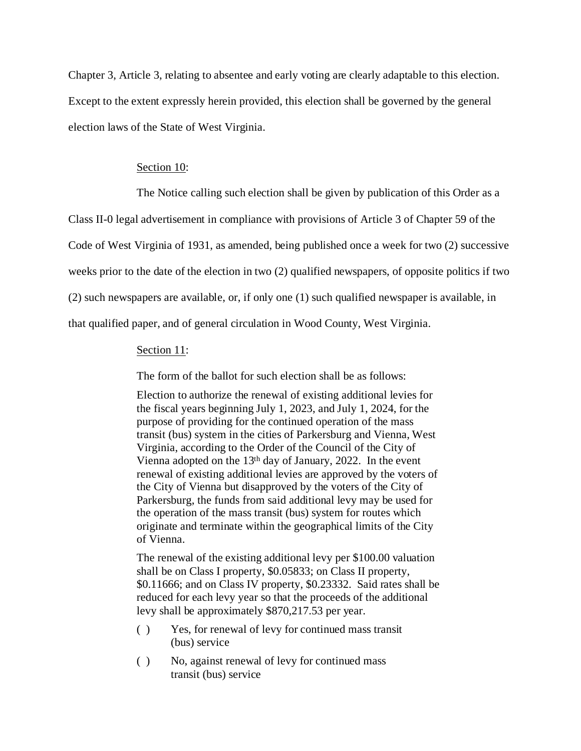Chapter 3, Article 3, relating to absentee and early voting are clearly adaptable to this election. Except to the extent expressly herein provided, this election shall be governed by the general election laws of the State of West Virginia.

#### Section 10:

The Notice calling such election shall be given by publication of this Order as a

Class II-0 legal advertisement in compliance with provisions of Article 3 of Chapter 59 of the

Code of West Virginia of 1931, as amended, being published once a week for two (2) successive

weeks prior to the date of the election in two (2) qualified newspapers, of opposite politics if two

(2) such newspapers are available, or, if only one (1) such qualified newspaper is available, in

that qualified paper, and of general circulation in Wood County, West Virginia.

#### Section 11:

The form of the ballot for such election shall be as follows:

Election to authorize the renewal of existing additional levies for the fiscal years beginning July 1, 2023, and July 1, 2024, for the purpose of providing for the continued operation of the mass transit (bus) system in the cities of Parkersburg and Vienna, West Virginia, according to the Order of the Council of the City of Vienna adopted on the 13th day of January, 2022. In the event renewal of existing additional levies are approved by the voters of the City of Vienna but disapproved by the voters of the City of Parkersburg, the funds from said additional levy may be used for the operation of the mass transit (bus) system for routes which originate and terminate within the geographical limits of the City of Vienna.

The renewal of the existing additional levy per \$100.00 valuation shall be on Class I property, \$0.05833; on Class II property, \$0.11666; and on Class IV property, \$0.23332. Said rates shall be reduced for each levy year so that the proceeds of the additional levy shall be approximately \$870,217.53 per year.

- ( ) Yes, for renewal of levy for continued mass transit (bus) service
- ( ) No, against renewal of levy for continued mass transit (bus) service